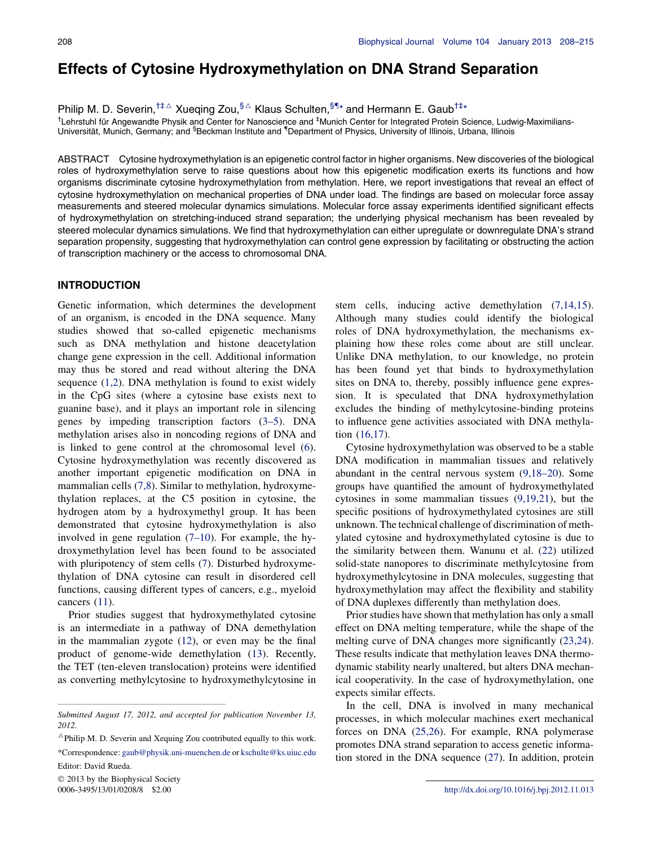# Effects of Cytosine Hydroxymethylation on DNA Strand Separation

Philip M. D. Severin,<sup>†‡∆</sup> Xueqing Zou,<sup>§∆</sup> Klaus Schulten,<sup>§¶</sup>\* and Hermann E. Gaub<sup>†‡\*</sup>

<sup>†</sup>Lehrstuhl für Angewandte Physik and Center for Nanoscience and <sup>‡</sup>Munich Center for Integrated Protein Science, Ludwig-Maximilians-Universität, Munich, Germany; and <sup>§</sup>Beckman Institute and <sup>¶</sup>Department of Physics, University of Illinois, Urbana, Illinois

ABSTRACT Cytosine hydroxymethylation is an epigenetic control factor in higher organisms. New discoveries of the biological roles of hydroxymethylation serve to raise questions about how this epigenetic modification exerts its functions and how organisms discriminate cytosine hydroxymethylation from methylation. Here, we report investigations that reveal an effect of cytosine hydroxymethylation on mechanical properties of DNA under load. The findings are based on molecular force assay measurements and steered molecular dynamics simulations. Molecular force assay experiments identified significant effects of hydroxymethylation on stretching-induced strand separation; the underlying physical mechanism has been revealed by steered molecular dynamics simulations. We find that hydroxymethylation can either upregulate or downregulate DNA's strand separation propensity, suggesting that hydroxymethylation can control gene expression by facilitating or obstructing the action of transcription machinery or the access to chromosomal DNA.

# INTRODUCTION

Genetic information, which determines the development of an organism, is encoded in the DNA sequence. Many studies showed that so-called epigenetic mechanisms such as DNA methylation and histone deacetylation change gene expression in the cell. Additional information may thus be stored and read without altering the DNA sequence  $(1,2)$  $(1,2)$  $(1,2)$ . DNA methylation is found to exist widely in the CpG sites (where a cytosine base exists next to guanine base), and it plays an important role in silencing genes by impeding transcription factors ([3–5\)](#page-6-0). DNA methylation arises also in noncoding regions of DNA and is linked to gene control at the chromosomal level ([6\)](#page-6-0). Cytosine hydroxymethylation was recently discovered as another important epigenetic modification on DNA in mammalian cells ([7,8](#page-6-0)). Similar to methylation, hydroxymethylation replaces, at the C5 position in cytosine, the hydrogen atom by a hydroxymethyl group. It has been demonstrated that cytosine hydroxymethylation is also involved in gene regulation ([7–10\)](#page-6-0). For example, the hydroxymethylation level has been found to be associated with pluripotency of stem cells ([7\)](#page-6-0). Disturbed hydroxymethylation of DNA cytosine can result in disordered cell functions, causing different types of cancers, e.g., myeloid cancers [\(11](#page-7-0)).

Prior studies suggest that hydroxymethylated cytosine is an intermediate in a pathway of DNA demethylation in the mammalian zygote ([12\)](#page-7-0), or even may be the final product of genome-wide demethylation ([13\)](#page-7-0). Recently, the TET (ten-eleven translocation) proteins were identified as converting methylcytosine to hydroxymethylcytosine in

2013 by the Biophysical Society

stem cells, inducing active demethylation ([7,14,15\)](#page-6-0). Although many studies could identify the biological roles of DNA hydroxymethylation, the mechanisms explaining how these roles come about are still unclear. Unlike DNA methylation, to our knowledge, no protein has been found yet that binds to hydroxymethylation sites on DNA to, thereby, possibly influence gene expression. It is speculated that DNA hydroxymethylation excludes the binding of methylcytosine-binding proteins to influence gene activities associated with DNA methylation ([16,17](#page-7-0)).

Cytosine hydroxymethylation was observed to be a stable DNA modification in mammalian tissues and relatively abundant in the central nervous system [\(9,18–20](#page-7-0)). Some groups have quantified the amount of hydroxymethylated cytosines in some mammalian tissues ([9,19,21\)](#page-7-0), but the specific positions of hydroxymethylated cytosines are still unknown. The technical challenge of discrimination of methylated cytosine and hydroxymethylated cytosine is due to the similarity between them. Wanunu et al. ([22\)](#page-7-0) utilized solid-state nanopores to discriminate methylcytosine from hydroxymethylcytosine in DNA molecules, suggesting that hydroxymethylation may affect the flexibility and stability of DNA duplexes differently than methylation does.

Prior studies have shown that methylation has only a small effect on DNA melting temperature, while the shape of the melting curve of DNA changes more significantly [\(23,24\)](#page-7-0). These results indicate that methylation leaves DNA thermodynamic stability nearly unaltered, but alters DNA mechanical cooperativity. In the case of hydroxymethylation, one expects similar effects.

In the cell, DNA is involved in many mechanical processes, in which molecular machines exert mechanical forces on DNA [\(25,26\)](#page-7-0). For example, RNA polymerase promotes DNA strand separation to access genetic information stored in the DNA sequence ([27\)](#page-7-0). In addition, protein

Submitted August 17, 2012, and accepted for publication November 13, 2012.

 $^{\triangle}$ Philip M. D. Severin and Xequing Zou contributed equally to this work.

<sup>\*</sup>Correspondence: [gaub@physik.uni-muenchen.de](mailto:gaub@physik.uni-muenchen.de) or [kschulte@ks.uiuc.edu](mailto:kschulte@ks.uiuc.edu) Editor: David Rueda.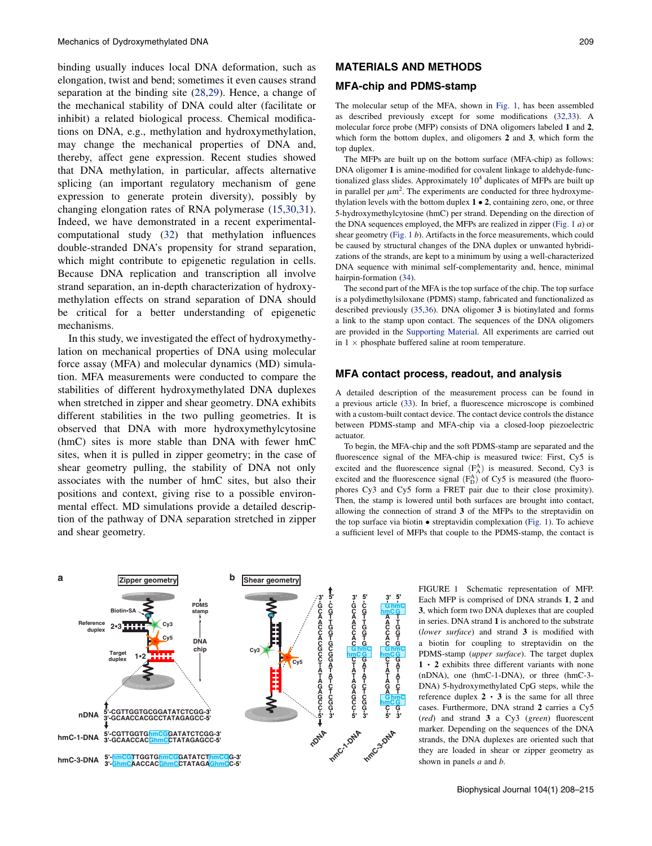<span id="page-1-0"></span>binding usually induces local DNA deformation, such as elongation, twist and bend; sometimes it even causes strand separation at the binding site [\(28,29\)](#page-7-0). Hence, a change of the mechanical stability of DNA could alter (facilitate or inhibit) a related biological process. Chemical modifications on DNA, e.g., methylation and hydroxymethylation, may change the mechanical properties of DNA and, thereby, affect gene expression. Recent studies showed that DNA methylation, in particular, affects alternative splicing (an important regulatory mechanism of gene expression to generate protein diversity), possibly by changing elongation rates of RNA polymerase ([15,30,31\)](#page-7-0). Indeed, we have demonstrated in a recent experimentalcomputational study ([32\)](#page-7-0) that methylation influences double-stranded DNA's propensity for strand separation, which might contribute to epigenetic regulation in cells. Because DNA replication and transcription all involve strand separation, an in-depth characterization of hydroxymethylation effects on strand separation of DNA should be critical for a better understanding of epigenetic mechanisms.

In this study, we investigated the effect of hydroxymethylation on mechanical properties of DNA using molecular force assay (MFA) and molecular dynamics (MD) simulation. MFA measurements were conducted to compare the stabilities of different hydroxymethylated DNA duplexes when stretched in zipper and shear geometry. DNA exhibits different stabilities in the two pulling geometries. It is observed that DNA with more hydroxymethylcytosine (hmC) sites is more stable than DNA with fewer hmC sites, when it is pulled in zipper geometry; in the case of shear geometry pulling, the stability of DNA not only associates with the number of hmC sites, but also their positions and context, giving rise to a possible environmental effect. MD simulations provide a detailed description of the pathway of DNA separation stretched in zipper and shear geometry.

# MATERIALS AND METHODS

### MFA-chip and PDMS-stamp

The molecular setup of the MFA, shown in Fig. 1, has been assembled as described previously except for some modifications [\(32,33](#page-7-0)). A molecular force probe (MFP) consists of DNA oligomers labeled 1 and 2, which form the bottom duplex, and oligomers 2 and 3, which form the top duplex.

The MFPs are built up on the bottom surface (MFA-chip) as follows: DNA oligomer 1 is amine-modified for covalent linkage to aldehyde-functionalized glass slides. Approximately  $10<sup>4</sup>$  duplicates of MFPs are built up in parallel per  $\mu$ m<sup>2</sup>. The experiments are conducted for three hydroxymethylation levels with the bottom duplex  $1 \cdot 2$ , containing zero, one, or three 5-hydroxymethylcytosine (hmC) per strand. Depending on the direction of the DNA sequences employed, the MFPs are realized in zipper (Fig. 1 a) or shear geometry (Fig. 1 b). Artifacts in the force measurements, which could be caused by structural changes of the DNA duplex or unwanted hybridizations of the strands, are kept to a minimum by using a well-characterized DNA sequence with minimal self-complementarity and, hence, minimal hairpin-formation [\(34](#page-7-0)).

The second part of the MFA is the top surface of the chip. The top surface is a polydimethylsiloxane (PDMS) stamp, fabricated and functionalized as described previously [\(35,36\)](#page-7-0). DNA oligomer 3 is biotinylated and forms a link to the stamp upon contact. The sequences of the DNA oligomers are provided in the [Supporting Material.](#page-6-0) All experiments are carried out in  $1 \times$  phosphate buffered saline at room temperature.

#### MFA contact process, readout, and analysis

A detailed description of the measurement process can be found in a previous article ([33\)](#page-7-0). In brief, a fluorescence microscope is combined with a custom-built contact device. The contact device controls the distance between PDMS-stamp and MFA-chip via a closed-loop piezoelectric actuator.

To begin, the MFA-chip and the soft PDMS-stamp are separated and the fluorescence signal of the MFA-chip is measured twice: First, Cy5 is excited and the fluorescence signal  $(F_A^A)$  is measured. Second, Cy3 is excited and the fluorescence signal  $(F<sub>D</sub><sup>A</sup>)$  of Cy5 is measured (the fluorophores Cy3 and Cy5 form a FRET pair due to their close proximity). Then, the stamp is lowered until both surfaces are brought into contact, allowing the connection of strand 3 of the MFPs to the streptavidin on the top surface via biotin  $\bullet$  streptavidin complexation (Fig. 1). To achieve a sufficient level of MFPs that couple to the PDMS-stamp, the contact is



FIGURE 1 Schematic representation of MFP. Each MFP is comprised of DNA strands 1, 2 and 3, which form two DNA duplexes that are coupled in series. DNA strand 1 is anchored to the substrate (lower surface) and strand 3 is modified with a biotin for coupling to streptavidin on the PDMS-stamp (upper surface). The target duplex  $1 \cdot 2$  exhibits three different variants with none (nDNA), one (hmC-1-DNA), or three (hmC-3- DNA) 5-hydroxymethylated CpG steps, while the reference duplex  $2 \cdot 3$  is the same for all three cases. Furthermore, DNA strand 2 carries a Cy5 (red) and strand 3 a Cy3 (green) fluorescent marker. Depending on the sequences of the DNA strands, the DNA duplexes are oriented such that they are loaded in shear or zipper geometry as shown in panels  $a$  and  $b$ .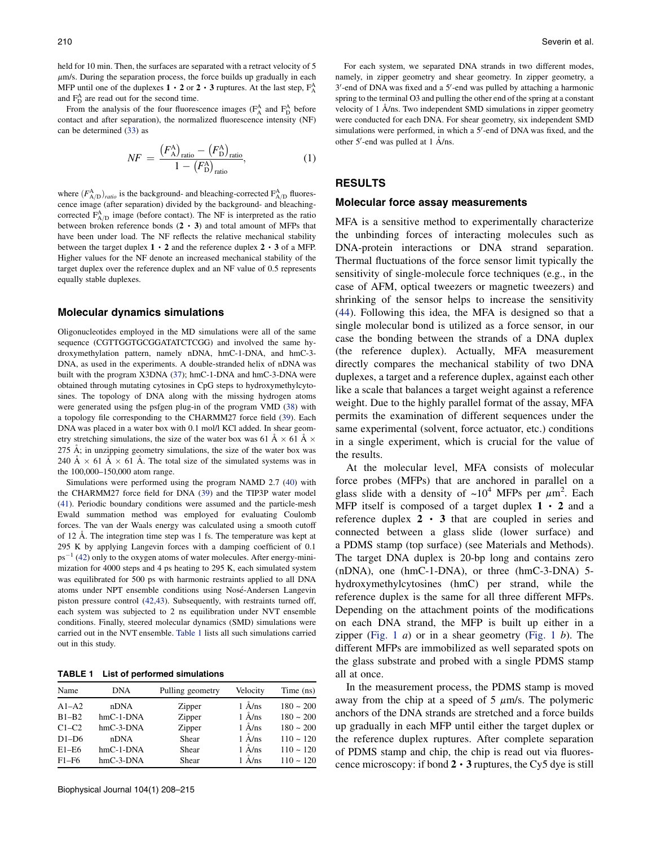held for 10 min. Then, the surfaces are separated with a retract velocity of 5  $\mu$ m/s. During the separation process, the force builds up gradually in each MFP until one of the duplexes  $1 \cdot 2$  or  $2 \cdot 3$  ruptures. At the last step,  $F_A^A$ and  $F_{D}^{A}$  are read out for the second time.

From the analysis of the four fluorescence images  $(F_A^A$  and  $F_D^A$  before contact and after separation), the normalized fluorescence intensity (NF) can be determined ([33\)](#page-7-0) as

$$
NF = \frac{\left(F_A^{\text{A}}\right)_{\text{ratio}} - \left(F_D^{\text{A}}\right)_{\text{ratio}}}{1 - \left(F_D^{\text{A}}\right)_{\text{ratio}}},\tag{1}
$$

where  $(F_{A/D}^A)_{ratio}$  is the background- and bleaching-corrected  $F_{A/D}^A$  fluorescence image (after separation) divided by the background- and bleachingcorrected  $F_{A/D}^{A}$  image (before contact). The NF is interpreted as the ratio between broken reference bonds  $(2 \cdot 3)$  and total amount of MFPs that have been under load. The NF reflects the relative mechanical stability between the target duplex  $1 \cdot 2$  and the reference duplex  $2 \cdot 3$  of a MFP. Higher values for the NF denote an increased mechanical stability of the target duplex over the reference duplex and an NF value of 0.5 represents equally stable duplexes.

#### Molecular dynamics simulations

Oligonucleotides employed in the MD simulations were all of the same sequence (CGTTGGTGCGGATATCTCGG) and involved the same hydroxymethylation pattern, namely nDNA, hmC-1-DNA, and hmC-3- DNA, as used in the experiments. A double-stranded helix of nDNA was built with the program X3DNA [\(37](#page-7-0)); hmC-1-DNA and hmC-3-DNA were obtained through mutating cytosines in CpG steps to hydroxymethylcytosines. The topology of DNA along with the missing hydrogen atoms were generated using the psfgen plug-in of the program VMD ([38\)](#page-7-0) with a topology file corresponding to the CHARMM27 force field ([39\)](#page-7-0). Each DNA was placed in a water box with 0.1 mol/l KCl added. In shear geometry stretching simulations, the size of the water box was 61  $\AA \times 61 \AA \times$  $275$  Å; in unzipping geometry simulations, the size of the water box was 240 Å  $\times$  61 Å  $\times$  61 Å. The total size of the simulated systems was in the 100,000–150,000 atom range.

Simulations were performed using the program NAMD 2.7 ([40](#page-7-0)) with the CHARMM27 force field for DNA [\(39](#page-7-0)) and the TIP3P water model [\(41\)](#page-7-0). Periodic boundary conditions were assumed and the particle-mesh Ewald summation method was employed for evaluating Coulomb forces. The van der Waals energy was calculated using a smooth cutoff of 12  $\AA$ . The integration time step was 1 fs. The temperature was kept at 295 K by applying Langevin forces with a damping coefficient of 0.1  $ps^{-1}$  ([42\)](#page-7-0) only to the oxygen atoms of water molecules. After energy-minimization for 4000 steps and 4 ps heating to 295 K, each simulated system was equilibrated for 500 ps with harmonic restraints applied to all DNA atoms under NPT ensemble conditions using Nosé-Andersen Langevin piston pressure control [\(42,43](#page-7-0)). Subsequently, with restraints turned off, each system was subjected to 2 ns equilibration under NVT ensemble conditions. Finally, steered molecular dynamics (SMD) simulations were carried out in the NVT ensemble. Table 1 lists all such simulations carried out in this study.

TABLE 1 List of performed simulations

| Name      | <b>DNA</b>  | Pulling geometry | Velocity                  | Time (ns)         |
|-----------|-------------|------------------|---------------------------|-------------------|
| $A1-A2$   | nDNA        | Zipper           | $1 \text{ Å}$ /ns         | $180 \sim 200$    |
| $B1-B2$   | $hmC-1-DNA$ | Zipper           | $1 \text{ Å} / \text{ns}$ | $180 \sim 200$    |
| $C1-C2$   | $hmC-3-DNA$ | Zipper           | $1 \text{ Å} / \text{ns}$ | $180 \sim 200$    |
| $D1-D6$   | nDNA        | Shear            | $1 \text{ Å}$ /ns         | $110 \sim 120$    |
| $E1 - E6$ | $hmC-1-DNA$ | Shear            | $1$ $\rm \AA/ns$          | $110 \sim 120$    |
| $F1-F6$   | $hmC-3-DNA$ | Shear            | $1 \text{ Å} / \text{ns}$ | $110 \approx 120$ |

For each system, we separated DNA strands in two different modes, namely, in zipper geometry and shear geometry. In zipper geometry, a  $3'$ -end of DNA was fixed and a  $5'$ -end was pulled by attaching a harmonic spring to the terminal O3 and pulling the other end of the spring at a constant velocity of  $1$   $\AA$ /ns. Two independent SMD simulations in zipper geometry were conducted for each DNA. For shear geometry, six independent SMD simulations were performed, in which a 5'-end of DNA was fixed, and the other 5'-end was pulled at 1 Å/ns.

# RESULTS

#### Molecular force assay measurements

MFA is a sensitive method to experimentally characterize the unbinding forces of interacting molecules such as DNA-protein interactions or DNA strand separation. Thermal fluctuations of the force sensor limit typically the sensitivity of single-molecule force techniques (e.g., in the case of AFM, optical tweezers or magnetic tweezers) and shrinking of the sensor helps to increase the sensitivity ([44\)](#page-7-0). Following this idea, the MFA is designed so that a single molecular bond is utilized as a force sensor, in our case the bonding between the strands of a DNA duplex (the reference duplex). Actually, MFA measurement directly compares the mechanical stability of two DNA duplexes, a target and a reference duplex, against each other like a scale that balances a target weight against a reference weight. Due to the highly parallel format of the assay, MFA permits the examination of different sequences under the same experimental (solvent, force actuator, etc.) conditions in a single experiment, which is crucial for the value of the results.

At the molecular level, MFA consists of molecular force probes (MFPs) that are anchored in parallel on a glass slide with a density of  $\sim 10^4$  MFPs per  $\mu$ m<sup>2</sup>. Each MFP itself is composed of a target duplex  $1 \cdot 2$  and a reference duplex  $2 \cdot 3$  that are coupled in series and connected between a glass slide (lower surface) and a PDMS stamp (top surface) (see Materials and Methods). The target DNA duplex is 20-bp long and contains zero (nDNA), one (hmC-1-DNA), or three (hmC-3-DNA) 5 hydroxymethylcytosines (hmC) per strand, while the reference duplex is the same for all three different MFPs. Depending on the attachment points of the modifications on each DNA strand, the MFP is built up either in a zipper [\(Fig. 1](#page-1-0)  $a$ ) or in a shear geometry (Fig. 1  $b$ ). The different MFPs are immobilized as well separated spots on the glass substrate and probed with a single PDMS stamp all at once.

In the measurement process, the PDMS stamp is moved away from the chip at a speed of 5  $\mu$ m/s. The polymeric anchors of the DNA strands are stretched and a force builds up gradually in each MFP until either the target duplex or the reference duplex ruptures. After complete separation of PDMS stamp and chip, the chip is read out via fluorescence microscopy: if bond  $2 \cdot 3$  ruptures, the Cy5 dye is still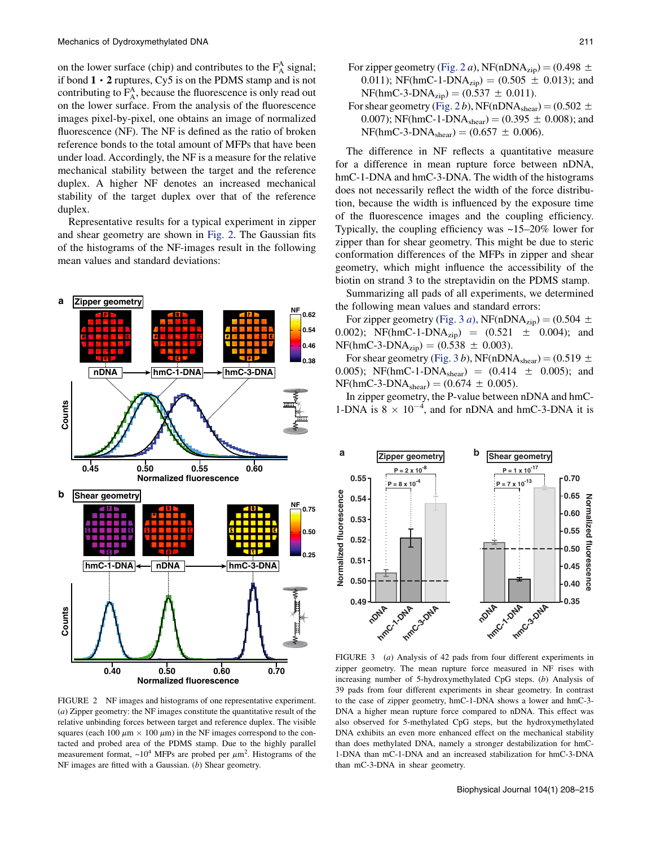on the lower surface (chip) and contributes to the  $F_A^A$  signal; if bond  $1 \cdot 2$  ruptures, Cy5 is on the PDMS stamp and is not contributing to  $F_A^A$ , because the fluorescence is only read out on the lower surface. From the analysis of the fluorescence images pixel-by-pixel, one obtains an image of normalized fluorescence (NF). The NF is defined as the ratio of broken reference bonds to the total amount of MFPs that have been under load. Accordingly, the NF is a measure for the relative mechanical stability between the target and the reference duplex. A higher NF denotes an increased mechanical stability of the target duplex over that of the reference duplex.

Representative results for a typical experiment in zipper and shear geometry are shown in Fig. 2. The Gaussian fits of the histograms of the NF-images result in the following mean values and standard deviations:



FIGURE 2 NF images and histograms of one representative experiment. (a) Zipper geometry: the NF images constitute the quantitative result of the relative unbinding forces between target and reference duplex. The visible squares (each 100  $\mu$ m  $\times$  100  $\mu$ m) in the NF images correspond to the contacted and probed area of the PDMS stamp. Due to the highly parallel measurement format,  $\sim 10^4$  MFPs are probed per  $\mu$ m<sup>2</sup>. Histograms of the NF images are fitted with a Gaussian. (b) Shear geometry.

For zipper geometry (Fig. 2 *a*), NF(nDNA<sub>zip</sub>) = (0.498  $\pm$ 0.011); NF(hmC-1-DNA<sub>zip</sub>) = (0.505  $\pm$  0.013); and  $NF(hmC-3-DNA_{zip}) = (0.537 \pm 0.011).$ 

For shear geometry (Fig. 2 b), NF(nDNA<sub>shear</sub>) = (0.502  $\pm$ 0.007); NF(hmC-1-DNA<sub>shear</sub>) = (0.395  $\pm$  0.008); and  $NF(hmC-3-DNA_{shear}) = (0.657 \pm 0.006).$ 

The difference in NF reflects a quantitative measure for a difference in mean rupture force between nDNA, hmC-1-DNA and hmC-3-DNA. The width of the histograms does not necessarily reflect the width of the force distribution, because the width is influenced by the exposure time of the fluorescence images and the coupling efficiency. Typically, the coupling efficiency was ~15–20% lower for zipper than for shear geometry. This might be due to steric conformation differences of the MFPs in zipper and shear geometry, which might influence the accessibility of the biotin on strand 3 to the streptavidin on the PDMS stamp.

Summarizing all pads of all experiments, we determined the following mean values and standard errors:

For zipper geometry (Fig. 3 a), NF(nDNA<sub>zip</sub>) =  $(0.504 \pm 1)$ 0.002); NF(hmC-1-DNA<sub>zip</sub>) =  $(0.521 \pm 0.004)$ ; and  $NF(hmC-3-DNA_{zip}) = (0.538 \pm 0.003).$ 

For shear geometry (Fig. 3 b), NF(nDNA<sub>shear</sub>) = (0.519  $\pm$ 0.005); NF(hmC-1-DNA<sub>shear</sub>) =  $(0.414 \pm 0.005)$ ; and  $NF(hmC-3-DNA<sub>shear</sub>) = (0.674 \pm 0.005).$ 

In zipper geometry, the P-value between nDNA and hmC-1-DNA is  $8 \times 10^{-4}$ , and for nDNA and hmC-3-DNA it is



FIGURE 3 (a) Analysis of 42 pads from four different experiments in zipper geometry. The mean rupture force measured in NF rises with increasing number of 5-hydroxymethylated CpG steps. (b) Analysis of 39 pads from four different experiments in shear geometry. In contrast to the case of zipper geometry, hmC-1-DNA shows a lower and hmC-3- DNA a higher mean rupture force compared to nDNA. This effect was also observed for 5-methylated CpG steps, but the hydroxymethylated DNA exhibits an even more enhanced effect on the mechanical stability than does methylated DNA, namely a stronger destabilization for hmC-1-DNA than mC-1-DNA and an increased stabilization for hmC-3-DNA than mC-3-DNA in shear geometry.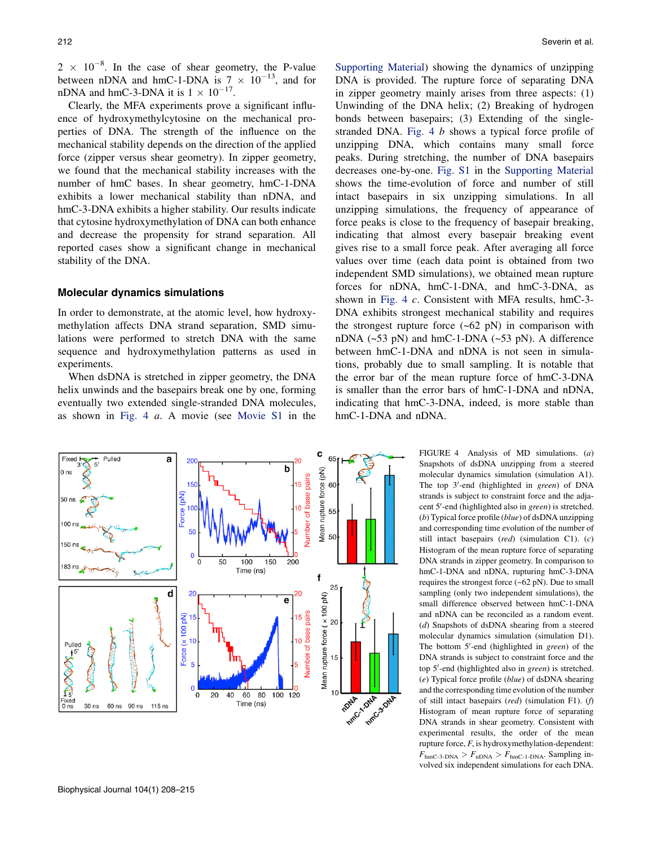<span id="page-4-0"></span> $2 \times 10^{-8}$ . In the case of shear geometry, the P-value between nDNA and hmC-1-DNA is  $7 \times 10^{-13}$ , and for nDNA and hmC-3-DNA it is  $1 \times 10^{-17}$ .

Clearly, the MFA experiments prove a significant influence of hydroxymethylcytosine on the mechanical properties of DNA. The strength of the influence on the mechanical stability depends on the direction of the applied force (zipper versus shear geometry). In zipper geometry, we found that the mechanical stability increases with the number of hmC bases. In shear geometry, hmC-1-DNA exhibits a lower mechanical stability than nDNA, and hmC-3-DNA exhibits a higher stability. Our results indicate that cytosine hydroxymethylation of DNA can both enhance and decrease the propensity for strand separation. All reported cases show a significant change in mechanical stability of the DNA.

#### Molecular dynamics simulations

In order to demonstrate, at the atomic level, how hydroxymethylation affects DNA strand separation, SMD simulations were performed to stretch DNA with the same sequence and hydroxymethylation patterns as used in experiments.

When dsDNA is stretched in zipper geometry, the DNA helix unwinds and the basepairs break one by one, forming eventually two extended single-stranded DNA molecules, as shown in Fig. 4 a. A movie (see [Movie S1](#page-6-0) in the



[Supporting Material\)](#page-6-0) showing the dynamics of unzipping DNA is provided. The rupture force of separating DNA in zipper geometry mainly arises from three aspects: (1) Unwinding of the DNA helix; (2) Breaking of hydrogen bonds between basepairs; (3) Extending of the singlestranded DNA. Fig. 4 b shows a typical force profile of unzipping DNA, which contains many small force peaks. During stretching, the number of DNA basepairs decreases one-by-one. [Fig. S1](#page-6-0) in the [Supporting Material](#page-6-0) shows the time-evolution of force and number of still intact basepairs in six unzipping simulations. In all unzipping simulations, the frequency of appearance of force peaks is close to the frequency of basepair breaking, indicating that almost every basepair breaking event gives rise to a small force peak. After averaging all force values over time (each data point is obtained from two independent SMD simulations), we obtained mean rupture forces for nDNA, hmC-1-DNA, and hmC-3-DNA, as shown in Fig. 4 c. Consistent with MFA results, hmC-3- DNA exhibits strongest mechanical stability and requires the strongest rupture force  $(-62 \text{ pN})$  in comparison with nDNA  $(-53 \text{ pN})$  and hmC-1-DNA  $(-53 \text{ pN})$ . A difference between hmC-1-DNA and nDNA is not seen in simulations, probably due to small sampling. It is notable that the error bar of the mean rupture force of hmC-3-DNA is smaller than the error bars of hmC-1-DNA and nDNA, indicating that hmC-3-DNA, indeed, is more stable than hmC-1-DNA and nDNA.

> FIGURE 4 Analysis of MD simulations. (a) Snapshots of dsDNA unzipping from a steered molecular dynamics simulation (simulation A1). The top 3'-end (highlighted in green) of DNA strands is subject to constraint force and the adjacent 5'-end (highlighted also in green) is stretched. (b) Typical force profile  $(blue)$  of dsDNA unzipping and corresponding time evolution of the number of still intact basepairs (red) (simulation C1).  $(c)$ Histogram of the mean rupture force of separating DNA strands in zipper geometry. In comparison to hmC-1-DNA and nDNA, rupturing hmC-3-DNA requires the strongest force (~62 pN). Due to small sampling (only two independent simulations), the small difference observed between hmC-1-DNA and nDNA can be reconciled as a random event. (d) Snapshots of dsDNA shearing from a steered molecular dynamics simulation (simulation D1). The bottom 5'-end (highlighted in *green*) of the DNA strands is subject to constraint force and the top 5'-end (highlighted also in green) is stretched.  $(e)$  Typical force profile (*blue*) of dsDNA shearing and the corresponding time evolution of the number of still intact basepairs (red) (simulation F1). (f) Histogram of mean rupture force of separating DNA strands in shear geometry. Consistent with experimental results, the order of the mean rupture force,  $F$ , is hydroxymethylation-dependent:  $F_{\text{hmC-3-DNA}} > F_{\text{nDNA}} > F_{\text{hmC-1-DNA}}$ . Sampling involved six independent simulations for each DNA.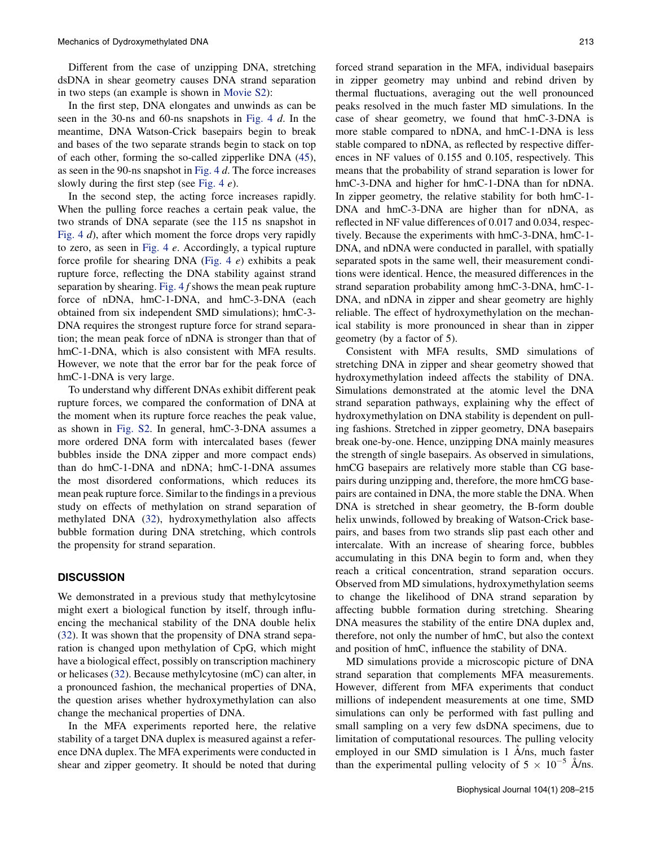Different from the case of unzipping DNA, stretching dsDNA in shear geometry causes DNA strand separation in two steps (an example is shown in [Movie S2\)](#page-6-0):

In the first step, DNA elongates and unwinds as can be seen in the 30-ns and 60-ns snapshots in [Fig. 4](#page-4-0) d. In the meantime, DNA Watson-Crick basepairs begin to break and bases of the two separate strands begin to stack on top of each other, forming the so-called zipperlike DNA ([45\)](#page-7-0), as seen in the 90-ns snapshot in [Fig. 4](#page-4-0) d. The force increases slowly during the first step (see [Fig. 4](#page-4-0)  $e$ ).

In the second step, the acting force increases rapidly. When the pulling force reaches a certain peak value, the two strands of DNA separate (see the 115 ns snapshot in [Fig. 4](#page-4-0) d), after which moment the force drops very rapidly to zero, as seen in [Fig. 4](#page-4-0) e. Accordingly, a typical rupture force profile for shearing DNA ([Fig. 4](#page-4-0)  $e$ ) exhibits a peak rupture force, reflecting the DNA stability against strand separation by shearing. Fig.  $4 f$  shows the mean peak rupture force of nDNA, hmC-1-DNA, and hmC-3-DNA (each obtained from six independent SMD simulations); hmC-3- DNA requires the strongest rupture force for strand separation; the mean peak force of nDNA is stronger than that of hmC-1-DNA, which is also consistent with MFA results. However, we note that the error bar for the peak force of hmC-1-DNA is very large.

To understand why different DNAs exhibit different peak rupture forces, we compared the conformation of DNA at the moment when its rupture force reaches the peak value, as shown in [Fig. S2.](#page-6-0) In general, hmC-3-DNA assumes a more ordered DNA form with intercalated bases (fewer bubbles inside the DNA zipper and more compact ends) than do hmC-1-DNA and nDNA; hmC-1-DNA assumes the most disordered conformations, which reduces its mean peak rupture force. Similar to the findings in a previous study on effects of methylation on strand separation of methylated DNA ([32\)](#page-7-0), hydroxymethylation also affects bubble formation during DNA stretching, which controls the propensity for strand separation.

#### **DISCUSSION**

We demonstrated in a previous study that methylcytosine might exert a biological function by itself, through influencing the mechanical stability of the DNA double helix ([32\)](#page-7-0). It was shown that the propensity of DNA strand separation is changed upon methylation of CpG, which might have a biological effect, possibly on transcription machinery or helicases ([32\)](#page-7-0). Because methylcytosine (mC) can alter, in a pronounced fashion, the mechanical properties of DNA, the question arises whether hydroxymethylation can also change the mechanical properties of DNA.

In the MFA experiments reported here, the relative stability of a target DNA duplex is measured against a reference DNA duplex. The MFA experiments were conducted in shear and zipper geometry. It should be noted that during forced strand separation in the MFA, individual basepairs in zipper geometry may unbind and rebind driven by thermal fluctuations, averaging out the well pronounced peaks resolved in the much faster MD simulations. In the case of shear geometry, we found that hmC-3-DNA is more stable compared to nDNA, and hmC-1-DNA is less stable compared to nDNA, as reflected by respective differences in NF values of 0.155 and 0.105, respectively. This means that the probability of strand separation is lower for hmC-3-DNA and higher for hmC-1-DNA than for nDNA. In zipper geometry, the relative stability for both hmC-1- DNA and hmC-3-DNA are higher than for nDNA, as reflected in NF value differences of 0.017 and 0.034, respectively. Because the experiments with hmC-3-DNA, hmC-1- DNA, and nDNA were conducted in parallel, with spatially separated spots in the same well, their measurement conditions were identical. Hence, the measured differences in the strand separation probability among hmC-3-DNA, hmC-1- DNA, and nDNA in zipper and shear geometry are highly reliable. The effect of hydroxymethylation on the mechanical stability is more pronounced in shear than in zipper geometry (by a factor of 5).

Consistent with MFA results, SMD simulations of stretching DNA in zipper and shear geometry showed that hydroxymethylation indeed affects the stability of DNA. Simulations demonstrated at the atomic level the DNA strand separation pathways, explaining why the effect of hydroxymethylation on DNA stability is dependent on pulling fashions. Stretched in zipper geometry, DNA basepairs break one-by-one. Hence, unzipping DNA mainly measures the strength of single basepairs. As observed in simulations, hmCG basepairs are relatively more stable than CG basepairs during unzipping and, therefore, the more hmCG basepairs are contained in DNA, the more stable the DNA. When DNA is stretched in shear geometry, the B-form double helix unwinds, followed by breaking of Watson-Crick basepairs, and bases from two strands slip past each other and intercalate. With an increase of shearing force, bubbles accumulating in this DNA begin to form and, when they reach a critical concentration, strand separation occurs. Observed from MD simulations, hydroxymethylation seems to change the likelihood of DNA strand separation by affecting bubble formation during stretching. Shearing DNA measures the stability of the entire DNA duplex and, therefore, not only the number of hmC, but also the context and position of hmC, influence the stability of DNA.

MD simulations provide a microscopic picture of DNA strand separation that complements MFA measurements. However, different from MFA experiments that conduct millions of independent measurements at one time, SMD simulations can only be performed with fast pulling and small sampling on a very few dsDNA specimens, due to limitation of computational resources. The pulling velocity employed in our SMD simulation is  $1 \text{ Å}$ /ns, much faster than the experimental pulling velocity of  $5 \times 10^{-5}$  A/ns.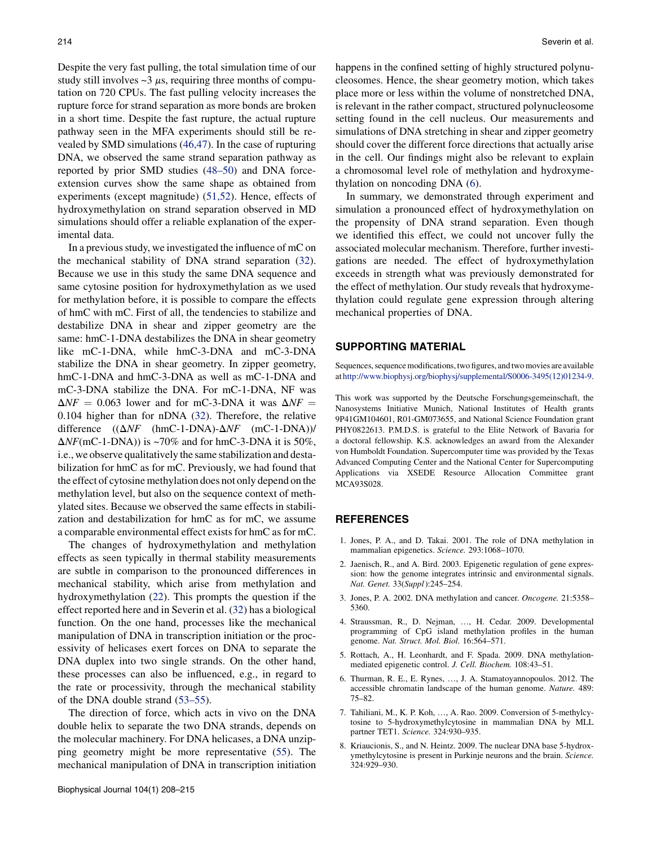<span id="page-6-0"></span>Despite the very fast pulling, the total simulation time of our study still involves  $\sim$ 3  $\mu$ s, requiring three months of computation on 720 CPUs. The fast pulling velocity increases the rupture force for strand separation as more bonds are broken in a short time. Despite the fast rupture, the actual rupture pathway seen in the MFA experiments should still be revealed by SMD simulations ([46,47](#page-7-0)). In the case of rupturing DNA, we observed the same strand separation pathway as reported by prior SMD studies [\(48–50](#page-7-0)) and DNA forceextension curves show the same shape as obtained from experiments (except magnitude) [\(51,52](#page-7-0)). Hence, effects of hydroxymethylation on strand separation observed in MD simulations should offer a reliable explanation of the experimental data.

In a previous study, we investigated the influence of mC on the mechanical stability of DNA strand separation ([32\)](#page-7-0). Because we use in this study the same DNA sequence and same cytosine position for hydroxymethylation as we used for methylation before, it is possible to compare the effects of hmC with mC. First of all, the tendencies to stabilize and destabilize DNA in shear and zipper geometry are the same: hmC-1-DNA destabilizes the DNA in shear geometry like mC-1-DNA, while hmC-3-DNA and mC-3-DNA stabilize the DNA in shear geometry. In zipper geometry, hmC-1-DNA and hmC-3-DNA as well as mC-1-DNA and mC-3-DNA stabilize the DNA. For mC-1-DNA, NF was  $\Delta NF = 0.063$  lower and for mC-3-DNA it was  $\Delta NF =$ 0.104 higher than for nDNA [\(32](#page-7-0)). Therefore, the relative difference  $((\Delta NF \cdot (hmC-1-DNA)-\Delta NF \cdot (mC-1-DNA))$ /  $\Delta N F$ (mC-1-DNA)) is ~70% and for hmC-3-DNA it is 50%, i.e., we observe qualitatively the same stabilization and destabilization for hmC as for mC. Previously, we had found that the effect of cytosine methylation does not only depend on the methylation level, but also on the sequence context of methylated sites. Because we observed the same effects in stabilization and destabilization for hmC as for mC, we assume a comparable environmental effect exists for hmC as for mC.

The changes of hydroxymethylation and methylation effects as seen typically in thermal stability measurements are subtle in comparison to the pronounced differences in mechanical stability, which arise from methylation and hydroxymethylation [\(22](#page-7-0)). This prompts the question if the effect reported here and in Severin et al. [\(32](#page-7-0)) has a biological function. On the one hand, processes like the mechanical manipulation of DNA in transcription initiation or the processivity of helicases exert forces on DNA to separate the DNA duplex into two single strands. On the other hand, these processes can also be influenced, e.g., in regard to the rate or processivity, through the mechanical stability of the DNA double strand [\(53–55](#page-7-0)).

The direction of force, which acts in vivo on the DNA double helix to separate the two DNA strands, depends on the molecular machinery. For DNA helicases, a DNA unzipping geometry might be more representative ([55](#page-7-0)). The mechanical manipulation of DNA in transcription initiation happens in the confined setting of highly structured polynucleosomes. Hence, the shear geometry motion, which takes place more or less within the volume of nonstretched DNA, is relevant in the rather compact, structured polynucleosome setting found in the cell nucleus. Our measurements and simulations of DNA stretching in shear and zipper geometry should cover the different force directions that actually arise in the cell. Our findings might also be relevant to explain a chromosomal level role of methylation and hydroxymethylation on noncoding DNA (6).

In summary, we demonstrated through experiment and simulation a pronounced effect of hydroxymethylation on the propensity of DNA strand separation. Even though we identified this effect, we could not uncover fully the associated molecular mechanism. Therefore, further investigations are needed. The effect of hydroxymethylation exceeds in strength what was previously demonstrated for the effect of methylation. Our study reveals that hydroxymethylation could regulate gene expression through altering mechanical properties of DNA.

# SUPPORTING MATERIAL

Sequences, sequence modifications, two figures, andtwo movies are available at [http://www.biophysj.org/biophysj/supplemental/S0006-3495\(12\)01234-9.](http://www.biophysj.org/biophysj/supplemental/S0006-3495(12)01234-9)

This work was supported by the Deutsche Forschungsgemeinschaft, the Nanosystems Initiative Munich, National Institutes of Health grants 9P41GM104601, R01-GM073655, and National Science Foundation grant PHY0822613. P.M.D.S. is grateful to the Elite Network of Bavaria for a doctoral fellowship. K.S. acknowledges an award from the Alexander von Humboldt Foundation. Supercomputer time was provided by the Texas Advanced Computing Center and the National Center for Supercomputing Applications via XSEDE Resource Allocation Committee grant MCA93S028.

# **REFERENCES**

- 1. Jones, P. A., and D. Takai. 2001. The role of DNA methylation in mammalian epigenetics. Science. 293:1068–1070.
- 2. Jaenisch, R., and A. Bird. 2003. Epigenetic regulation of gene expression: how the genome integrates intrinsic and environmental signals. Nat. Genet. 33(Suppl):245–254.
- 3. Jones, P. A. 2002. DNA methylation and cancer. Oncogene. 21:5358– 5360.
- 4. Straussman, R., D. Nejman, ..., H. Cedar. 2009. Developmental programming of CpG island methylation profiles in the human genome. Nat. Struct. Mol. Biol. 16:564–571.
- 5. Rottach, A., H. Leonhardt, and F. Spada. 2009. DNA methylationmediated epigenetic control. J. Cell. Biochem. 108:43–51.
- 6. Thurman, R. E., E. Rynes, ., J. A. Stamatoyannopoulos. 2012. The accessible chromatin landscape of the human genome. Nature. 489: 75–82.
- 7. Tahiliani, M., K. P. Koh, ..., A. Rao. 2009. Conversion of 5-methylcytosine to 5-hydroxymethylcytosine in mammalian DNA by MLL partner TET1. Science. 324:930–935.
- 8. Kriaucionis, S., and N. Heintz. 2009. The nuclear DNA base 5-hydroxymethylcytosine is present in Purkinje neurons and the brain. Science. 324:929–930.